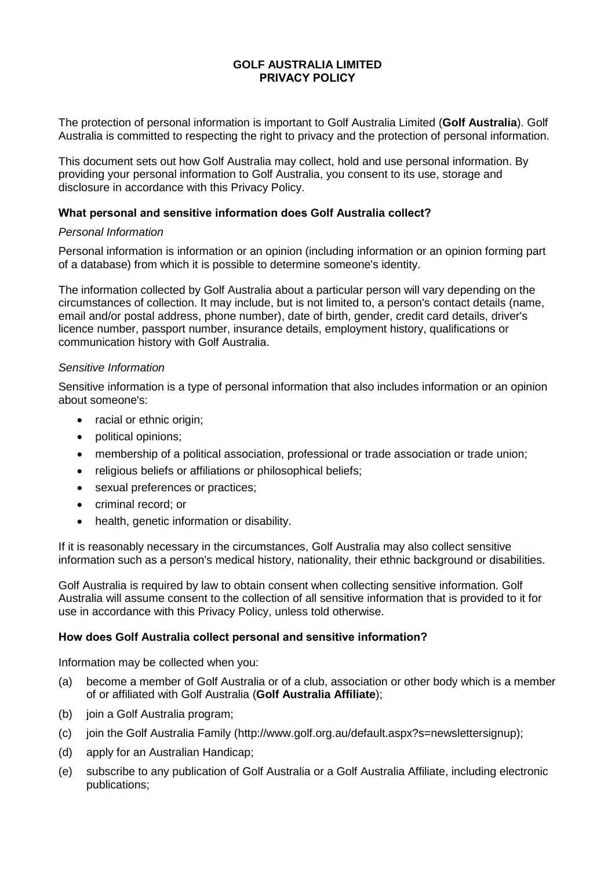The protection of personal information is important to Golf Australia Limited (**Golf Australia**). Golf Australia is committed to respecting the right to privacy and the protection of personal information.

This document sets out how Golf Australia may collect, hold and use personal information. By providing your personal information to Golf Australia, you consent to its use, storage and disclosure in accordance with this Privacy Policy.

## **What personal and sensitive information does Golf Australia collect?**

## *Personal Information*

Personal information is information or an opinion (including information or an opinion forming part of a database) from which it is possible to determine someone's identity.

The information collected by Golf Australia about a particular person will vary depending on the circumstances of collection. It may include, but is not limited to, a person's contact details (name, email and/or postal address, phone number), date of birth, gender, credit card details, driver's licence number, passport number, insurance details, employment history, qualifications or communication history with Golf Australia.

## *Sensitive Information*

Sensitive information is a type of personal information that also includes information or an opinion about someone's:

- racial or ethnic origin;
- political opinions;
- membership of a political association, professional or trade association or trade union;
- religious beliefs or affiliations or philosophical beliefs:
- sexual preferences or practices;
- criminal record: or
- health, genetic information or disability.

If it is reasonably necessary in the circumstances, Golf Australia may also collect sensitive information such as a person's medical history, nationality, their ethnic background or disabilities.

Golf Australia is required by law to obtain consent when collecting sensitive information. Golf Australia will assume consent to the collection of all sensitive information that is provided to it for use in accordance with this Privacy Policy, unless told otherwise.

## **How does Golf Australia collect personal and sensitive information?**

Information may be collected when you:

- (a) become a member of Golf Australia or of a club, association or other body which is a member of or affiliated with Golf Australia (**Golf Australia Affiliate**);
- (b) join a Golf Australia program;
- (c) join the Golf Australia Family (http://www.golf.org.au/default.aspx?s=newslettersignup);
- (d) apply for an Australian Handicap;
- (e) subscribe to any publication of Golf Australia or a Golf Australia Affiliate, including electronic publications;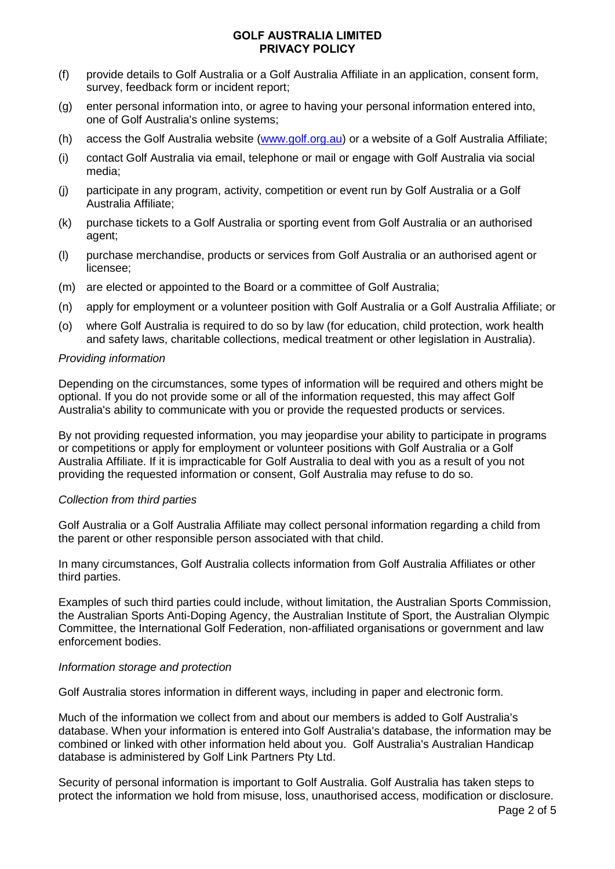- (f) provide details to Golf Australia or a Golf Australia Affiliate in an application, consent form, survey, feedback form or incident report;
- (g) enter personal information into, or agree to having your personal information entered into, one of Golf Australia's online systems;
- (h) access the Golf Australia website [\(www.golf.org.au\)](http://www.golf.org.au/) or a website of a Golf Australia Affiliate;
- (i) contact Golf Australia via email, telephone or mail or engage with Golf Australia via social media;
- (j) participate in any program, activity, competition or event run by Golf Australia or a Golf Australia Affiliate;
- (k) purchase tickets to a Golf Australia or sporting event from Golf Australia or an authorised agent;
- (l) purchase merchandise, products or services from Golf Australia or an authorised agent or licensee;
- (m) are elected or appointed to the Board or a committee of Golf Australia;
- (n) apply for employment or a volunteer position with Golf Australia or a Golf Australia Affiliate; or
- (o) where Golf Australia is required to do so by law (for education, child protection, work health and safety laws, charitable collections, medical treatment or other legislation in Australia).

## *Providing information*

Depending on the circumstances, some types of information will be required and others might be optional. If you do not provide some or all of the information requested, this may affect Golf Australia's ability to communicate with you or provide the requested products or services.

By not providing requested information, you may jeopardise your ability to participate in programs or competitions or apply for employment or volunteer positions with Golf Australia or a Golf Australia Affiliate. If it is impracticable for Golf Australia to deal with you as a result of you not providing the requested information or consent, Golf Australia may refuse to do so.

## *Collection from third parties*

Golf Australia or a Golf Australia Affiliate may collect personal information regarding a child from the parent or other responsible person associated with that child.

In many circumstances, Golf Australia collects information from Golf Australia Affiliates or other third parties.

Examples of such third parties could include, without limitation, the Australian Sports Commission, the Australian Sports Anti-Doping Agency, the Australian Institute of Sport, the Australian Olympic Committee, the International Golf Federation, non-affiliated organisations or government and law enforcement bodies.

## *Information storage and protection*

Golf Australia stores information in different ways, including in paper and electronic form.

Much of the information we collect from and about our members is added to Golf Australia's database. When your information is entered into Golf Australia's database, the information may be combined or linked with other information held about you. Golf Australia's Australian Handicap database is administered by Golf Link Partners Pty Ltd.

Security of personal information is important to Golf Australia. Golf Australia has taken steps to protect the information we hold from misuse, loss, unauthorised access, modification or disclosure.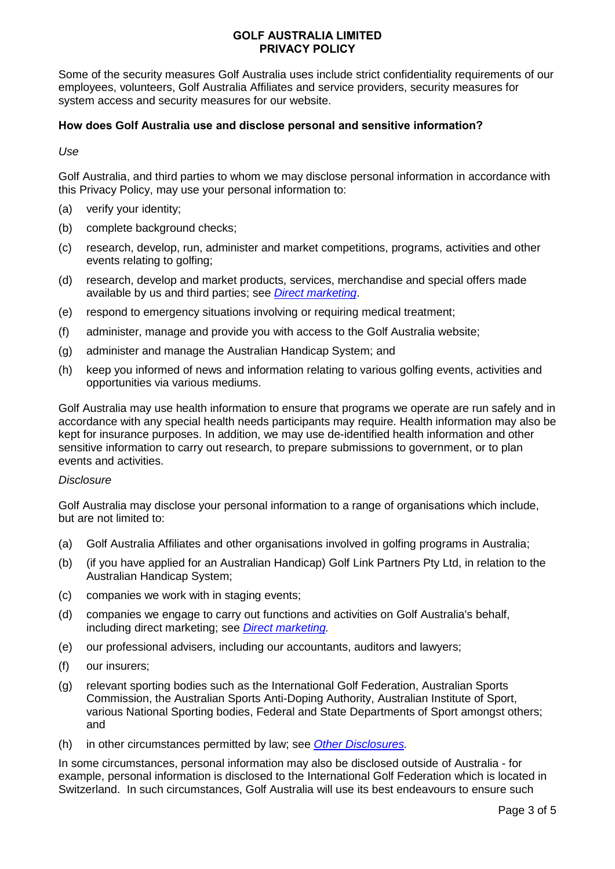Some of the security measures Golf Australia uses include strict confidentiality requirements of our employees, volunteers, Golf Australia Affiliates and service providers, security measures for system access and security measures for our website.

# **How does Golf Australia use and disclose personal and sensitive information?**

*Use*

Golf Australia, and third parties to whom we may disclose personal information in accordance with this Privacy Policy, may use your personal information to:

- (a) verify your identity;
- (b) complete background checks;
- (c) research, develop, run, administer and market competitions, programs, activities and other events relating to golfing;
- (d) research, develop and market products, services, merchandise and special offers made available by us and third parties; see *[Direct marketing](#page-3-0)*.
- (e) respond to emergency situations involving or requiring medical treatment;
- (f) administer, manage and provide you with access to the Golf Australia website;
- (g) administer and manage the Australian Handicap System; and
- (h) keep you informed of news and information relating to various golfing events, activities and opportunities via various mediums.

Golf Australia may use health information to ensure that programs we operate are run safely and in accordance with any special health needs participants may require. Health information may also be kept for insurance purposes. In addition, we may use de-identified health information and other sensitive information to carry out research, to prepare submissions to government, or to plan events and activities.

## *Disclosure*

Golf Australia may disclose your personal information to a range of organisations which include, but are not limited to:

- (a) Golf Australia Affiliates and other organisations involved in golfing programs in Australia;
- (b) (if you have applied for an Australian Handicap) Golf Link Partners Pty Ltd, in relation to the Australian Handicap System;
- (c) companies we work with in staging events;
- (d) companies we engage to carry out functions and activities on Golf Australia's behalf, including direct marketing; see *[Direct marketing.](#page-3-0)*
- (e) our professional advisers, including our accountants, auditors and lawyers;
- (f) our insurers;
- (g) relevant sporting bodies such as the International Golf Federation, Australian Sports Commission, the Australian Sports Anti-Doping Authority, Australian Institute of Sport, various National Sporting bodies, Federal and State Departments of Sport amongst others; and
- (h) in other circumstances permitted by law; see *[Other Disclosures.](#page-3-1)*

In some circumstances, personal information may also be disclosed outside of Australia - for example, personal information is disclosed to the International Golf Federation which is located in Switzerland. In such circumstances, Golf Australia will use its best endeavours to ensure such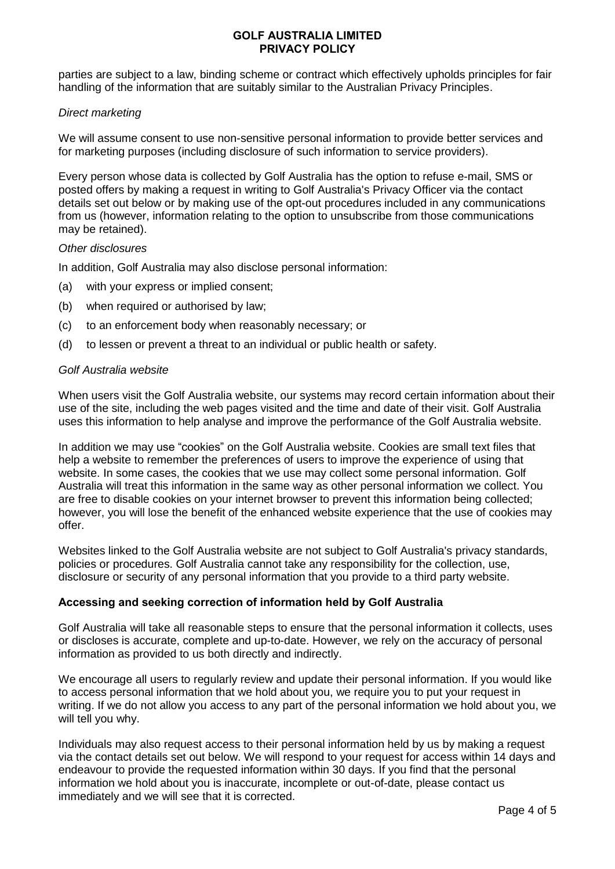parties are subject to a law, binding scheme or contract which effectively upholds principles for fair handling of the information that are suitably similar to the Australian Privacy Principles.

## <span id="page-3-0"></span>*Direct marketing*

We will assume consent to use non-sensitive personal information to provide better services and for marketing purposes (including disclosure of such information to service providers).

Every person whose data is collected by Golf Australia has the option to refuse e-mail, SMS or posted offers by making a request in writing to Golf Australia's Privacy Officer via the contact details set out below or by making use of the opt-out procedures included in any communications from us (however, information relating to the option to unsubscribe from those communications may be retained).

### <span id="page-3-1"></span>*Other disclosures*

In addition, Golf Australia may also disclose personal information:

- (a) with your express or implied consent;
- (b) when required or authorised by law;
- (c) to an enforcement body when reasonably necessary; or
- (d) to lessen or prevent a threat to an individual or public health or safety.

### *Golf Australia website*

When users visit the Golf Australia website, our systems may record certain information about their use of the site, including the web pages visited and the time and date of their visit. Golf Australia uses this information to help analyse and improve the performance of the Golf Australia website.

In addition we may use "cookies" on the Golf Australia website. Cookies are small text files that help a website to remember the preferences of users to improve the experience of using that website. In some cases, the cookies that we use may collect some personal information. Golf Australia will treat this information in the same way as other personal information we collect. You are free to disable cookies on your internet browser to prevent this information being collected; however, you will lose the benefit of the enhanced website experience that the use of cookies may offer.

Websites linked to the Golf Australia website are not subject to Golf Australia's privacy standards, policies or procedures. Golf Australia cannot take any responsibility for the collection, use, disclosure or security of any personal information that you provide to a third party website.

## **Accessing and seeking correction of information held by Golf Australia**

Golf Australia will take all reasonable steps to ensure that the personal information it collects, uses or discloses is accurate, complete and up-to-date. However, we rely on the accuracy of personal information as provided to us both directly and indirectly.

We encourage all users to regularly review and update their personal information. If you would like to access personal information that we hold about you, we require you to put your request in writing. If we do not allow you access to any part of the personal information we hold about you, we will tell you why.

Individuals may also request access to their personal information held by us by making a request via the contact details set out below. We will respond to your request for access within 14 days and endeavour to provide the requested information within 30 days. If you find that the personal information we hold about you is inaccurate, incomplete or out-of-date, please contact us immediately and we will see that it is corrected.